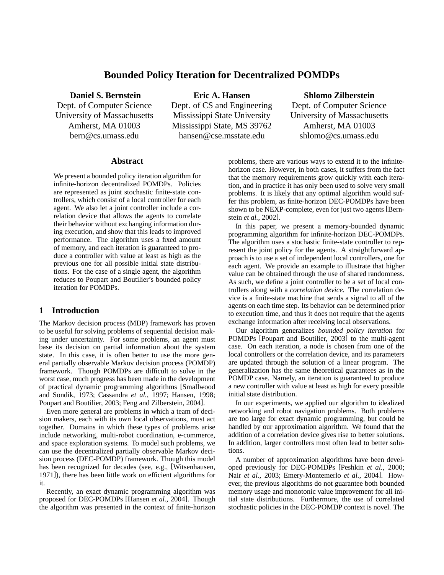# **Bounded Policy Iteration for Decentralized POMDPs**

**Daniel S. Bernstein**

Dept. of Computer Science University of Massachusetts Amherst, MA 01003 bern@cs.umass.edu

**Eric A. Hansen** Dept. of CS and Engineering Mississippi State University Mississippi State, MS 39762

hansen@cse.msstate.edu

## **Shlomo Zilberstein**

Dept. of Computer Science University of Massachusetts Amherst, MA 01003 shlomo@cs.umass.edu

## **Abstract**

We present a bounded policy iteration algorithm for infinite-horizon decentralized POMDPs. Policies are represented as joint stochastic finite-state controllers, which consist of a local controller for each agent. We also let a joint controller include a correlation device that allows the agents to correlate their behavior without exchanging information during execution, and show that this leads to improved performance. The algorithm uses a fixed amount of memory, and each iteration is guaranteed to produce a controller with value at least as high as the previous one for all possible initial state distributions. For the case of a single agent, the algorithm reduces to Poupart and Boutilier's bounded policy iteration for POMDPs.

## **1 Introduction**

The Markov decision process (MDP) framework has proven to be useful for solving problems of sequential decision making under uncertainty. For some problems, an agent must base its decision on partial information about the system state. In this case, it is often better to use the more general partially observable Markov decision process (POMDP) framework. Though POMDPs are difficult to solve in the worst case, much progress has been made in the development of practical dynamic programming algorithms [Smallwood and Sondik, 1973; Cassandra *et al.*, 1997; Hansen, 1998; Poupart and Boutilier, 2003; Feng and Zilberstein, 2004].

Even more general are problems in which a team of decision makers, each with its own local observations, must act together. Domains in which these types of problems arise include networking, multi-robot coordination, e-commerce, and space exploration systems. To model such problems, we can use the decentralized partially observable Markov decision process (DEC-POMDP) framework. Though this model has been recognized for decades (see, e.g., [Witsenhausen, 1971]), there has been little work on efficient algorithms for it.

Recently, an exact dynamic programming algorithm was proposed for DEC-POMDPs [Hansen *et al.*, 2004]. Though the algorithm was presented in the context of finite-horizon problems, there are various ways to extend it to the infinitehorizon case. However, in both cases, it suffers from the fact that the memory requirements grow quickly with each iteration, and in practice it has only been used to solve very small problems. It is likely that any optimal algorithm would suffer this problem, as finite-horizon DEC-POMDPs have been shown to be NEXP-complete, even for just two agents [Bernstein *et al.*, 2002].

In this paper, we present a memory-bounded dynamic programming algorithm for infinite-horizon DEC-POMDPs. The algorithm uses a stochastic finite-state controller to represent the joint policy for the agents. A straightforward approach is to use a set of independent local controllers, one for each agent. We provide an example to illustrate that higher value can be obtained through the use of shared randomness. As such, we define a joint controller to be a set of local controllers along with a *correlation device*. The correlation device is a finite-state machine that sends a signal to all of the agents on each time step. Its behavior can be determined prior to execution time, and thus it does not require that the agents exchange information after receiving local observations.

Our algorithm generalizes *bounded policy iteration* for POMDPs [Poupart and Boutilier, 2003] to the multi-agent case. On each iteration, a node is chosen from one of the local controllers or the correlation device, and its parameters are updated through the solution of a linear program. The generalization has the same theoretical guarantees as in the POMDP case. Namely, an iteration is guaranteed to produce a new controller with value at least as high for every possible initial state distribution.

In our experiments, we applied our algorithm to idealized networking and robot navigation problems. Both problems are too large for exact dynamic programming, but could be handled by our approximation algorithm. We found that the addition of a correlation device gives rise to better solutions. In addition, larger controllers most often lead to better solutions.

A number of approximation algorithms have been developed previously for DEC-POMDPs [Peshkin *et al.*, 2000; Nair *et al.*, 2003; Emery-Montemerlo *et al.*, 2004]. However, the previous algorithms do not guarantee both bounded memory usage and monotonic value improvement for all initial state distributions. Furthermore, the use of correlated stochastic policies in the DEC-POMDP context is novel. The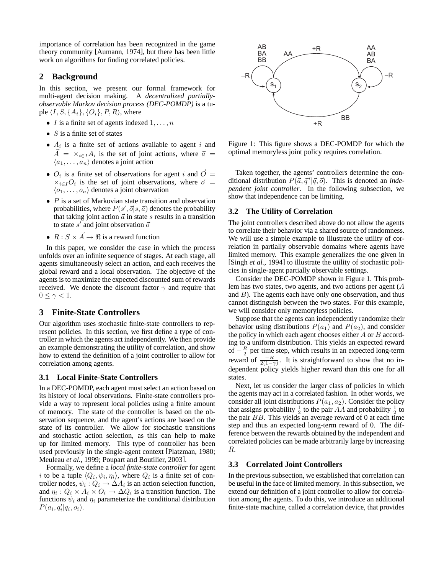importance of correlation has been recognized in the game theory community [Aumann, 1974], but there has been little work on algorithms for finding correlated policies.

## **2 Background**

In this section, we present our formal framework for multi-agent decision making. A *decentralized partiallyobservable Markov decision process (DEC-POMDP)* is a tuple  $\langle I, S, \{A_i\}, \{O_i\}, P, R \rangle$ , where

- *I* is a finite set of agents indexed  $1, \ldots, n$
- $S$  is a finite set of states
- $A_i$  is a finite set of actions available to agent i and  $\vec{A} = \times_{i \in I} A_i$  is the set of joint actions, where  $\vec{a} =$  $\langle a_1, \ldots, a_n \rangle$  denotes a joint action
- $O_i$  is a finite set of observations for agent i and  $\vec{O} =$  $\times_{i\in I} O_i$  is the set of joint observations, where  $\vec{\sigma}$  =  $\langle o_1, \ldots, o_n \rangle$  denotes a joint observation
- $P$  is a set of Markovian state transition and observation probabilities, where  $P(s', \vec{o}|s, \vec{a})$  denotes the probability that taking joint action  $\vec{a}$  in state s results in a transition to state  $s'$  and joint observation  $\bar{o}$
- $R: S \times \vec{A} \rightarrow \Re$  is a reward function

In this paper, we consider the case in which the process unfolds over an infinite sequence of stages. At each stage, all agents simultaneously select an action, and each receives the global reward and a local observation. The objective of the agents is to maximize the expected discounted sum of rewards received. We denote the discount factor  $\gamma$  and require that  $0 \leq \gamma < 1$ .

## **3 Finite-State Controllers**

Our algorithm uses stochastic finite-state controllers to represent policies. In this section, we first define a type of controller in which the agents act independently. We then provide an example demonstrating the utility of correlation, and show how to extend the definition of a joint controller to allow for correlation among agents.

## **3.1 Local Finite-State Controllers**

In a DEC-POMDP, each agent must select an action based on its history of local observations. Finite-state controllers provide a way to represent local policies using a finite amount of memory. The state of the controller is based on the observation sequence, and the agent's actions are based on the state of its controller. We allow for stochastic transitions and stochastic action selection, as this can help to make up for limited memory. This type of controller has been used previously in the single-agent context [Platzman, 1980; Meuleau *et al.*, 1999; Poupart and Boutilier, 2003].

Formally, we define a *local finite-state controller* for agent i to be a tuple  $\langle Q_i, \psi_i, \eta_i \rangle$ , where  $Q_i$  is a finite set of controller nodes,  $\psi_i: Q_i \to \Delta A_i$  is an action selection function, and  $\eta_i$ :  $Q_i \times A_i \times O_i \rightarrow \Delta Q_i$  is a transition function. The functions  $\psi_i$  and  $\eta_i$  parameterize the conditional distribution  $P(a_i, q'_i | q_i, o_i).$ 



Figure 1: This figure shows a DEC-POMDP for which the optimal memoryless joint policy requires correlation.

Taken together, the agents' controllers determine the conditional distribution  $P(\vec{a}, \vec{q}' | \vec{q}, \vec{o})$ . This is denoted an *independent joint controller*. In the following subsection, we show that independence can be limiting.

## **3.2 The Utility of Correlation**

The joint controllers described above do not allow the agents to correlate their behavior via a shared source of randomness. We will use a simple example to illustrate the utility of correlation in partially observable domains where agents have limited memory. This example generalizes the one given in [Singh *et al.*, 1994] to illustrate the utility of stochastic policies in single-agent partially observable settings.

Consider the DEC-POMDP shown in Figure 1. This problem has two states, two agents, and two actions per agent (A and  $B$ ). The agents each have only one observation, and thus cannot distinguish between the two states. For this example, we will consider only memoryless policies.

Suppose that the agents can independently randomize their behavior using distributions  $P(a_1)$  and  $P(a_2)$ , and consider the policy in which each agent chooses either A or B according to a uniform distribution. This yields an expected reward of  $-\frac{R}{2}$  per time step, which results in an expected long-term reward of  $\frac{-R}{2(1-\gamma)}$ . It is straightforward to show that no independent policy yields higher reward than this one for all states.

Next, let us consider the larger class of policies in which the agents may act in a correlated fashion. In other words, we consider all joint distributions  $P(a_1, a_2)$ . Consider the policy that assigns probability  $\frac{1}{2}$  to the pair AA and probability  $\frac{1}{2}$  to the pair BB. This yields an average reward of 0 at each time step and thus an expected long-term reward of 0. The difference between the rewards obtained by the independent and correlated policies can be made arbitrarily large by increasing R.

## **3.3 Correlated Joint Controllers**

In the previous subsection, we established that correlation can be useful in the face of limited memory. In this subsection, we extend our definition of a joint controller to allow for correlation among the agents. To do this, we introduce an additional finite-state machine, called a correlation device, that provides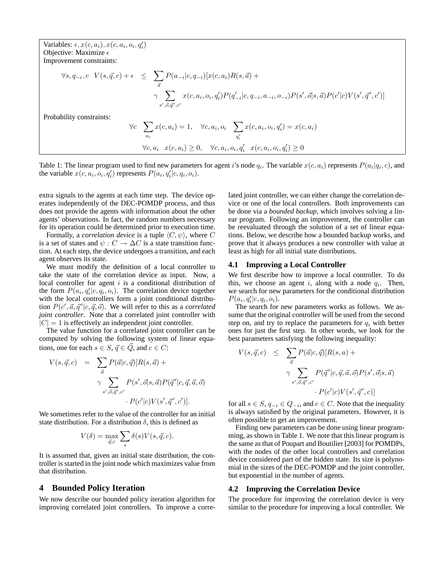Variables:  $\epsilon$ ,  $x(c, a_i)$ ,  $x(c, a_i, o_i, q'_i)$ Objective: Maximize  $\epsilon$ Improvement constraints:

$$
\forall s, q_{-i}, c \quad V(s, \vec{q}, c) + \epsilon \leq \sum_{\vec{a}} P(a_{-i}|c, q_{-i}) [x(c, a_i)R(s, \vec{a}) + \gamma \sum_{s', \vec{o}, \vec{q}', c'} x(c, a_i, o_i, q'_i) P(q'_{-i}|c, q_{-i}, a_{-i}, o_{-i}) P(s', \vec{o}|s, \vec{a}) P(c'|c) V(s', \vec{q}', c')]
$$
  
Probability constraints:  

$$
\forall c \sum_{a_i} x(c, a_i) = 1, \quad \forall c, a_i, o_i \sum_{q'_i} x(c, a_i, o_i, q'_i) = x(c, a_i)
$$

$$
\forall c, a_i \quad x(c, a_i) \geq 0, \quad \forall c, a_i, o_i, q'_i \quad x(c, a_i, o_i, q'_i) \geq 0
$$

Table 1: The linear program used to find new parameters for agent i's node  $q_i$ . The variable  $x(c, a_i)$  represents  $P(a_i|q_i, c)$ , and the variable  $x(c, a_i, o_i, q'_i)$  represents  $P(a_i, q'_i|c, q_i, o_i)$ .

extra signals to the agents at each time step. The device operates independently of the DEC-POMDP process, and thus does not provide the agents with information about the other agents' observations. In fact, the random numbers necessary for its operation could be determined prior to execution time.

Formally, a *correlation device* is a tuple  $\langle C, \psi \rangle$ , where C is a set of states and  $\psi : C \to \Delta C$  is a state transition function. At each step, the device undergoes a transition, and each agent observes its state.

We must modify the definition of a local controller to take the state of the correlation device as input. Now, a local controller for agent  $i$  is a conditional distribution of the form  $P(a_i, q_i' | c, q_i, o_i)$ . The correlation device together with the local controllers form a joint conditional distribution  $P(c', \vec{a}, \vec{q}' | c, \vec{q}, \vec{o})$ . We will refer to this as a *correlated joint controller*. Note that a correlated joint controller with  $|C| = 1$  is effectively an independent joint controller.

The value function for a correlated joint controller can be computed by solving the following system of linear equations, one for each  $s \in S$ ,  $\vec{q} \in \vec{Q}$ , and  $c \in C$ :

$$
V(s, \vec{q}, c) = \sum_{\vec{a}} P(\vec{a}|c, \vec{q}) [R(s, \vec{a}) +
$$

$$
\gamma \sum_{s', \vec{o}, \vec{q}', c'} P(s', \vec{o}|s, \vec{a}) P(\vec{q}'|c, \vec{q}, \vec{a}, \vec{o})
$$

$$
\cdot P(c'|c) V(s', \vec{q}', c')].
$$

We sometimes refer to the value of the controller for an initial state distribution. For a distribution  $\delta$ , this is defined as

$$
V(\delta) = \max_{\vec{q},c} \sum_s \delta(s) V(s,\vec{q},c).
$$

It is assumed that, given an initial state distribution, the controller is started in the joint node which maximizes value from that distribution.

### **4 Bounded Policy Iteration**

We now describe our bounded policy iteration algorithm for improving correlated joint controllers. To improve a correlated joint controller, we can either change the correlation device or one of the local controllers. Both improvements can be done via a *bounded backup*, which involves solving a linear program. Following an improvement, the controller can be reevaluated through the solution of a set of linear equations. Below, we describe how a bounded backup works, and prove that it always produces a new controller with value at least as high for all initial state distributions.

### **4.1 Improving a Local Controller**

We first describe how to improve a local controller. To do this, we choose an agent i, along with a node  $q_i$ . Then, we search for new parameters for the conditional distribution  $P(a_i, q'_i | c, q_i, o_i).$ 

The search for new parameters works as follows. We assume that the original controller will be used from the second step on, and try to replace the parameters for  $q_i$  with better ones for just the first step. In other words, we look for the best parameters satisfying the following inequality:

$$
V(s, \vec{q}, c) \leq \sum_{\vec{a}} P(\vec{a}|c, \vec{q}) [R(s, a) +
$$

$$
\gamma \sum_{s', \vec{o}, \vec{q}', c'} P(\vec{q}'|c, \vec{q}, \vec{a}, \vec{o}) P(s', \vec{o}|s, \vec{a})
$$

$$
\cdot P(c'|c) V(s', \vec{q}', c)]
$$

for all  $s \in S$ ,  $q_{-i} \in Q_{-i}$ , and  $c \in C$ . Note that the inequality is always satisfied by the original parameters. However, it is often possible to get an improvement.

Finding new parameters can be done using linear programming, as shown in Table 1. We note that this linear program is the same as that of Poupart and Boutilier [2003] for POMDPs, with the nodes of the other local controllers and correlation device considered part of the hidden state. Its size is polynomial in the sizes of the DEC-POMDP and the joint controller, but exponential in the number of agents.

### **4.2 Improving the Correlation Device**

The procedure for improving the correlation device is very similar to the procedure for improving a local controller. We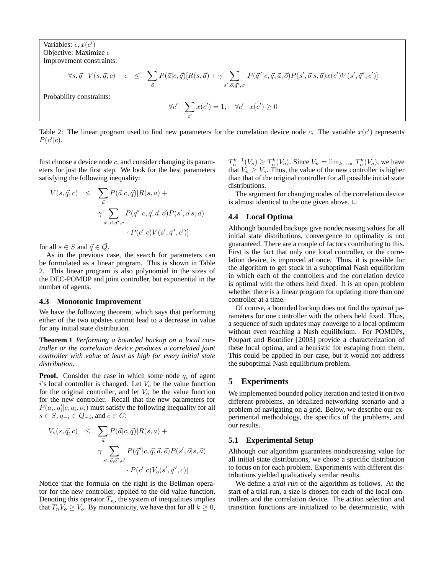Variables:  $\epsilon$ ,  $x(c')$ Objective: Maximize  $\epsilon$ Improvement constraints:

$$
\forall s, \vec{q} \quad V(s, \vec{q}, c) + \epsilon \leq \sum_{\vec{a}} P(\vec{a}|c, \vec{q}) [R(s, \vec{a}) + \gamma \sum_{s', \vec{o}, \vec{q}', c'} P(\vec{q}'|c, \vec{q}, \vec{a}, \vec{o}) P(s', \vec{o}|s, \vec{a}) x(c') V(s', \vec{q}', c')]
$$

Probability constraints:

$$
\forall c' \quad \sum_{c'} x(c') = 1, \quad \forall c' \quad x(c') \ge 0
$$

Table 2: The linear program used to find new parameters for the correlation device node c. The variable  $x(c')$  represents  $P(c'|c)$ .

first choose a device node  $c$ , and consider changing its parameters for just the first step. We look for the best parameters satisfying the following inequality:

$$
V(s, \vec{q}, c) \leq \sum_{\vec{a}} P(\vec{a}|c, \vec{q}) [R(s, a) +
$$

$$
\gamma \sum_{s', \vec{o}, \vec{q}', c} P(\vec{q}'|c, \vec{q}, \vec{a}, \vec{o}) P(s', \vec{o}|s, \vec{a})
$$

$$
\cdot P(c'|c) V(s', \vec{q}', c')
$$

for all  $s \in S$  and  $\vec{q} \in \vec{Q}$ .

As in the previous case, the search for parameters can be formulated as a linear program. This is shown in Table 2. This linear program is also polynomial in the sizes of the DEC-POMDP and joint controller, but exponential in the number of agents.

#### **4.3 Monotonic Improvement**

We have the following theorem, which says that performing either of the two updates cannot lead to a decrease in value for any initial state distribution.

**Theorem 1** *Performing a bounded backup on a local controller or the correlation device produces a correlated joint controller with value at least as high for every initial state distribution.*

**Proof.** Consider the case in which some node  $q_i$  of agent i's local controller is changed. Let  $V<sub>o</sub>$  be the value function for the original controller, and let  $V_n$  be the value function for the new controller. Recall that the new parameters for  $P(a_i, q_i' | c, q_i, o_i)$  must satisfy the following inequality for all  $s \in S$ ,  $q_{-i} \in Q_{-i}$ , and  $c \in C$ :

$$
V_o(s, \vec{q}, c) \leq \sum_{\vec{a}} P(\vec{a}|c, \vec{q}) [R(s, a) +
$$
  

$$
\gamma \sum_{s', \vec{o}, \vec{q}', c'} P(\vec{q}'|c, \vec{q}, \vec{a}, \vec{o}) P(s', \vec{o}|s, \vec{a})
$$
  

$$
\cdot P(c'|c) V_o(s', \vec{q}', c)
$$

Notice that the formula on the right is the Bellman operator for the new controller, applied to the old value function. Denoting this operator  $T_n$ , the system of inequalities implies that  $T_nV_o \geq V_o$ . By monotonicity, we have that for all  $k \geq 0$ ,

 $T_n^{k+1}(V_o) \geq T_n^k(V_o)$ . Since  $V_n = \lim_{k \to \infty} T_n^k(V_o)$ , we have that  $V_n \geq V_o$ . Thus, the value of the new controller is higher than that of the original controller for all possible initial state distributions.

The argument for changing nodes of the correlation device is almost identical to the one given above.  $\Box$ 

### **4.4 Local Optima**

Although bounded backups give nondecreasing values for all initial state distributions, convergence to optimality is not guaranteed. There are a couple of factors contributing to this. First is the fact that only one local controller, or the correlation device, is improved at once. Thus, it is possible for the algorithm to get stuck in a suboptimal Nash equilibrium in which each of the controllers and the correlation device is optimal with the others held fixed. It is an open problem whether there is a linear program for updating more than one controller at a time.

Of course, a bounded backup does not find the *optimal* parameters for one controller with the others held fixed. Thus, a sequence of such updates may converge to a local optimum without even reaching a Nash equilibrium. For POMDPs, Poupart and Boutilier [2003] provide a characterization of these local optima, and a heuristic for escaping from them. This could be applied in our case, but it would not address the suboptimal Nash equilibrium problem.

### **5 Experiments**

We implemented bounded policy iteration and tested it on two different problems, an idealized networking scenario and a problem of navigating on a grid. Below, we describe our experimental methodology, the specifics of the problems, and our results.

### **5.1 Experimental Setup**

Although our algorithm guarantees nondecreasing value for all initial state distributions, we chose a specific distribution to focus on for each problem. Experiments with different distributions yielded qualitatively similar results.

We define a *trial run* of the algorithm as follows. At the start of a trial run, a size is chosen for each of the local controllers and the correlation device. The action selection and transition functions are initialized to be deterministic, with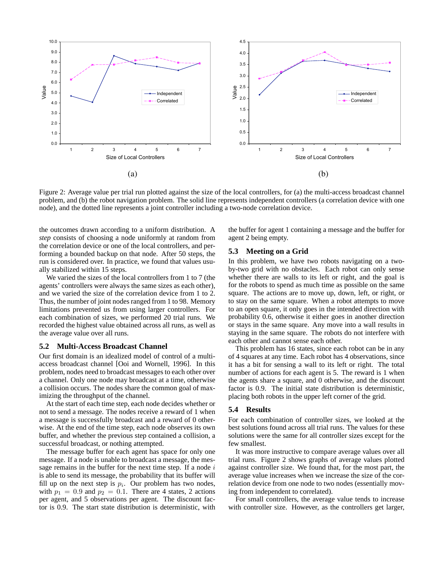

Figure 2: Average value per trial run plotted against the size of the local controllers, for (a) the multi-access broadcast channel problem, and (b) the robot navigation problem. The solid line represents independent controllers (a correlation device with one node), and the dotted line represents a joint controller including a two-node correlation device.

the outcomes drawn according to a uniform distribution. A *step* consists of choosing a node uniformly at random from the correlation device or one of the local controllers, and performing a bounded backup on that node. After 50 steps, the run is considered over. In practice, we found that values usually stabilized within 15 steps.

We varied the sizes of the local controllers from 1 to 7 (the agents' controllers were always the same sizes as each other), and we varied the size of the correlation device from 1 to 2. Thus, the number of joint nodes ranged from 1 to 98. Memory limitations prevented us from using larger controllers. For each combination of sizes, we performed 20 trial runs. We recorded the highest value obtained across all runs, as well as the average value over all runs.

### **5.2 Multi-Access Broadcast Channel**

Our first domain is an idealized model of control of a multiaccess broadcast channel [Ooi and Wornell, 1996]. In this problem, nodes need to broadcast messages to each other over a channel. Only one node may broadcast at a time, otherwise a collision occurs. The nodes share the common goal of maximizing the throughput of the channel.

At the start of each time step, each node decides whether or not to send a message. The nodes receive a reward of 1 when a message is successfully broadcast and a reward of 0 otherwise. At the end of the time step, each node observes its own buffer, and whether the previous step contained a collision, a successful broadcast, or nothing attempted.

The message buffer for each agent has space for only one message. If a node is unable to broadcast a message, the message remains in the buffer for the next time step. If a node  $i$ is able to send its message, the probability that its buffer will fill up on the next step is  $p_i$ . Our problem has two nodes, with  $p_1 = 0.9$  and  $p_2 = 0.1$ . There are 4 states, 2 actions per agent, and 5 observations per agent. The discount factor is 0.9. The start state distribution is deterministic, with the buffer for agent 1 containing a message and the buffer for agent 2 being empty.

## **5.3 Meeting on a Grid**

In this problem, we have two robots navigating on a twoby-two grid with no obstacles. Each robot can only sense whether there are walls to its left or right, and the goal is for the robots to spend as much time as possible on the same square. The actions are to move up, down, left, or right, or to stay on the same square. When a robot attempts to move to an open square, it only goes in the intended direction with probability 0.6, otherwise it either goes in another direction or stays in the same square. Any move into a wall results in staying in the same square. The robots do not interfere with each other and cannot sense each other.

This problem has 16 states, since each robot can be in any of 4 squares at any time. Each robot has 4 observations, since it has a bit for sensing a wall to its left or right. The total number of actions for each agent is 5. The reward is 1 when the agents share a square, and 0 otherwise, and the discount factor is 0.9. The initial state distribution is deterministic, placing both robots in the upper left corner of the grid.

### **5.4 Results**

For each combination of controller sizes, we looked at the best solutions found across all trial runs. The values for these solutions were the same for all controller sizes except for the few smallest.

It was more instructive to compare average values over all trial runs. Figure 2 shows graphs of average values plotted against controller size. We found that, for the most part, the average value increases when we increase the size of the correlation device from one node to two nodes (essentially moving from independent to correlated).

For small controllers, the average value tends to increase with controller size. However, as the controllers get larger,